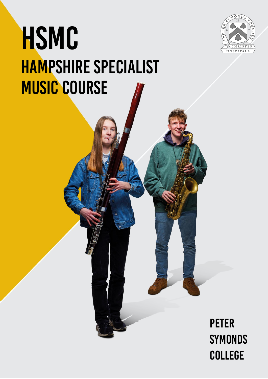

# HSMC HAMPSHIRE SPECIALIST MUSIC COURSE

### **PETER SYMONDS COLLEGE**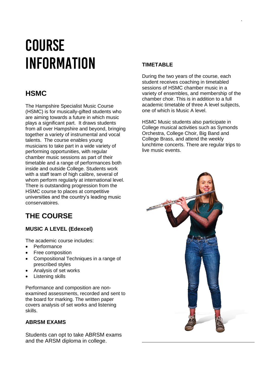# COURSE INFORMATION

### **HSMC**

The Hampshire Specialist Music Course (HSMC) is for musically-gifted students who are aiming towards a future in which music plays a significant part. It draws students from all over Hampshire and beyond, bringing together a variety of instrumental and vocal talents. The course enables young musicians to take part in a wide variety of performing opportunities, with regular chamber music sessions as part of their timetable and a range of performances both inside and outside College. Students work with a staff team of high calibre, several of whom perform regularly at international level. There is outstanding progression from the HSMC course to places at competitive universities and the country's leading music conservatoires.

### **THE COURSE**

#### **MUSIC A LEVEL (Edexcel)**

The academic course includes:

- Performance
- Free composition
- Compositional Techniques in a range of prescribed styles
- Analysis of set works
- Listening skills

Performance and composition are nonexamined assessments, recorded and sent to the board for marking. The written paper covers analysis of set works and listening skills.

#### **ABRSM EXAMS**

Students can opt to take ABRSM exams and the ARSM diploma in college.

#### **TIMETABLE**

During the two years of the course, each student receives coaching in timetabled sessions of HSMC chamber music in a variety of ensembles, and membership of the chamber choir. This is in addition to a full academic timetable of three A level subjects, one of which is Music A level.

`

HSMC Music students also participate in College musical activities such as Symonds Orchestra, College Choir, Big Band and College Brass, and attend the weekly lunchtime concerts. There are regular trips to live music events.

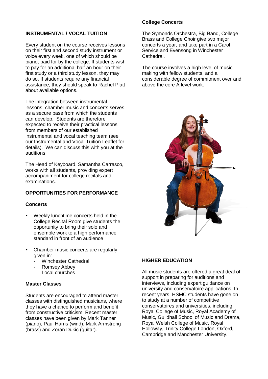#### **INSTRUMENTAL / VOCAL TUITION**

Every student on the course receives lessons on their first and second study instrument or voice every week, one of which should be piano, paid for by the college. If students wish to pay for an additional half an hour on their first study or a third study lesson, they may do so. If students require any financial assistance, they should speak to Rachel Platt about available options.

The integration between instrumental lessons, chamber music and concerts serves as a secure base from which the students can develop. Students are therefore expected to receive their practical lessons from members of our established instrumental and vocal teaching team (see our Instrumental and Vocal Tuition Leaflet for details). We can discuss this with you at the auditions.

The Head of Keyboard, Samantha Carrasco, works with all students, providing expert accompaniment for college recitals and examinations.

#### **OPPORTUNITIES FOR PERFORMANCE**

#### **Concerts**

- Weekly lunchtime concerts held in the College Recital Room give students the opportunity to bring their solo and ensemble work to a high performance standard in front of an audience
- Chamber music concerts are regularly given in:
	- Winchester Cathedral
	- Romsey Abbey
	- Local churches

#### **Master Classes**

Students are encouraged to attend master classes with distinguished musicians, where they have a chance to perform and benefit from constructive criticism. Recent master classes have been given by Mark Tanner (piano), Paul Harris (wind), Mark Armstrong (brass) and Zoran Dukic (guitar).

#### **College Concerts**

The Symonds Orchestra, Big Band, College Brass and College Choir give two major concerts a year, and take part in a Carol Service and Evensong in Winchester Cathedral.

The course involves a high level of musicmaking with fellow students, and a considerable degree of commitment over and above the core A level work.



#### **HIGHER EDUCATION**

All music students are offered a great deal of support in preparing for auditions and interviews, including expert guidance on university and conservatoire applications. In recent years, HSMC students have gone on to study at a number of competitive conservatoires and universities, including Royal College of Music, Royal Academy of Music, Guildhall School of Music and Drama, Royal Welsh College of Music, Royal Holloway, Trinity College London, Oxford, Cambridge and Manchester University.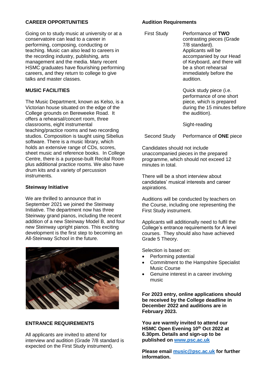#### **CAREER OPPORTUNITIES**

Going on to study music at university or at a conservatoire can lead to a career in performing, composing, conducting or teaching. Music can also lead to careers in the recording industry, publishing, arts management and the media. Many recent HSMC graduates have flourishing performing careers, and they return to college to give talks and master classes.

#### **MUSIC FACILITIES**

The Music Department, known as Kelso, is a Victorian house situated on the edge of the College grounds on Bereweeke Road. It offers a rehearsal/concert room, three classrooms, eight instrumental teaching/practice rooms and two recording studios. Composition is taught using Sibelius software. There is a music library, which holds an extensive range of CDs, scores, sheet music and reference books. In College Centre, there is a purpose-built Recital Room plus additional practice rooms. We also have drum kits and a variety of percussion instruments.

#### **Steinway Initiative**

We are thrilled to announce that in September 2021 we joined the Steinway Initiative. The department now has three Steinway grand pianos, including the recent addition of a new Steinway Model B, and four new Steinway upright pianos. This exciting development is the first step to becoming an All-Steinway School in the future.



#### **ENTRANCE REQUIREMENTS**

All applicants are invited to attend for interview and audition (Grade 7/8 standard is expected on the First Study instrument).

#### **Audition Requirements**

| <b>First Study</b> | Performance of TWO<br>contrasting pieces (Grade<br>7/8 standard).<br>Applicants will be<br>accompanied by our Head<br>of Keyboard, and there will<br>be a short rehearsal<br>immediately before the<br>audition. |
|--------------------|------------------------------------------------------------------------------------------------------------------------------------------------------------------------------------------------------------------|
|                    | Quick study piece (i.e.<br>performance of one short<br>niaco, which is proporad                                                                                                                                  |

piece, which is prepared during the 15 minutes before the audition).

Sight-reading

Second Study Performance of **ONE** piece

Candidates should not include unaccompanied pieces in the prepared programme, which should not exceed 12 minutes in total.

There will be a short interview about candidates' musical interests and career aspirations.

Auditions will be conducted by teachers on the Course, including one representing the First Study instrument.

Applicants will additionally need to fulfil the College's entrance requirements for A level courses. They should also have achieved Grade 5 Theory.

Selection is based on:

- Performing potential
- Commitment to the Hampshire Specialist Music Course
- Genuine interest in a career involving music

**For 2023 entry, online applications should be received by the College deadline in December 2022 and auditions are in February 2023.**

**You are warmly invited to attend our HSMC Open Evening 10th Oct 2022 at 6.30pm. Details and sign-up to be published on [www.psc.ac.uk](http://www.psc.ac.uk/)**

**Please email [music@psc.ac.uk](mailto:music@psc.ac.uk) for further information.**